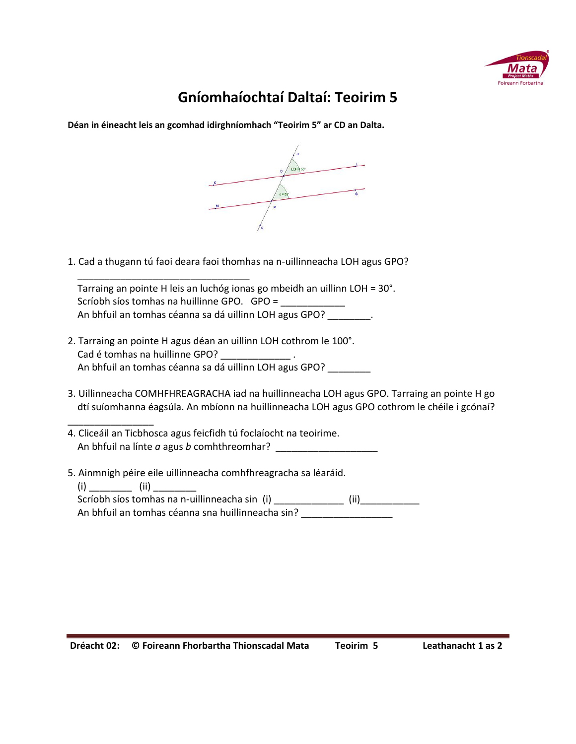

## **Gníomhaíochtaí Daltaí: Teoirim 5**

**Déan in éineacht leis an gcomhad idirghníomhach "Teoirim 5" ar CD an Dalta.**



1. Cad a thugann tú faoi deara faoi thomhas na n-uillinneacha LOH agus GPO?

 \_\_\_\_\_\_\_\_\_\_\_\_\_\_\_\_\_\_\_\_\_\_\_\_\_\_\_\_\_\_\_\_ Tarraing an pointe H leis an luchóg ionas go mbeidh an uillinn LOH = 30°. Scríobh síos tomhas na huillinne GPO. GPO = \_ An bhfuil an tomhas céanna sa dá uillinn LOH agus GPO? \_\_\_\_\_\_\_\_.

- 2. Tarraing an pointe H agus déan an uillinn LOH cothrom le 100°. Cad é tomhas na huillinne GPO? An bhfuil an tomhas céanna sa dá uillinn LOH agus GPO? \_\_\_\_\_\_\_\_
- 3. Uillinneacha COMHFHREAGRACHA iad na huillinneacha LOH agus GPO. Tarraing an pointe H go dtí suíomhanna éagsúla. An mbíonn na huillinneacha LOH agus GPO cothrom le chéile i gcónaí?
- 4. Cliceáil an Ticbhosca agus feicfidh tú foclaíocht na teoirime. An bhfuil na línte *a* agus *b* comhthreomhar? \_\_\_\_\_\_\_\_\_\_\_\_\_\_\_\_\_\_\_
- 5. Ainmnigh péire eile uillinneacha comhfhreagracha sa léaráid.

\_\_\_\_\_\_\_\_\_\_\_\_\_\_\_\_

 $(i)$   $(ii)$ Scríobh síos tomhas na n-uillinneacha sin (i) \_\_\_\_\_\_\_\_\_\_\_\_\_\_\_ (ii) \_\_\_\_\_\_\_\_\_\_\_\_\_ An bhfuil an tomhas céanna sna huillinneacha sin? \_\_\_\_\_\_\_\_\_\_\_\_\_\_\_\_\_\_\_\_\_\_\_\_\_\_\_\_\_\_